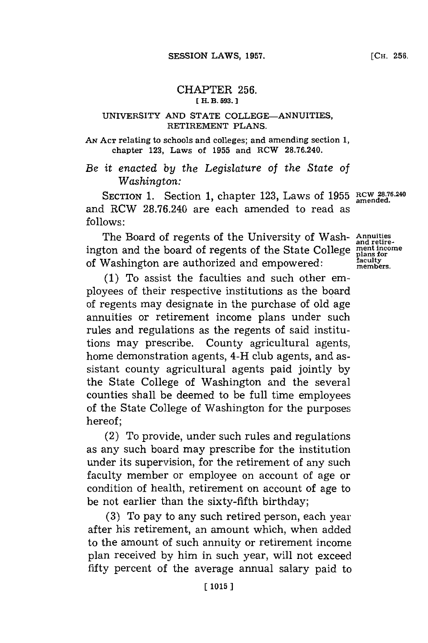## CHAPTER **256. [ H. B. 593.]1**

## UNIVERSITY **AND STATE** COLLEGE-ANNUITIES, RETIREMENT **PLANS.**

*AN* **ACT** relating to schools and colleges; and amending section **1,** chapter **123,** Laws of **1955** and RCW **28.76.240.**

*Be it enacted by the Legislature of the State of Washington:*

**SECTION 1.** Section 1, chapter 123, Laws of 1955 RCW 28.76.24 and RCW **28.76.240** are each amended to read as **follows:**

The Board of regents of the University of Wash- Annuities ington and the board of regents of the State College **ment income** of Washington are authorized and empowered:

**(1)** To assist the faculties and such other employees of their respective institutions as the board of regents may designate in the purchase of old age annuities or retirement income plans under such rules and regulations as the regents of said institutions may prescribe. County agricultural agents, home demonstration agents, 4-H club agents, and assistant county agricultural agents paid jointly **by** the State College of Washington and the several counties shall be deemed to be full time employees of the State College of Washington for the purposes hereof;

(2) To provide, under such rules and regulations as any such board may prescribe for the institution under its supervision, for the retirement of any such faculty member or employee on account of age or condition of health, retirement on account of age to be not earlier than the sixty-fifth birthday;

**(3)** To pay to any such retired person, each year after his retirement, an amount which, when added to the amount of such annuity or retirement income plan received **by** him in such year, will not exceed fifty percent of the average annual salary paid to

**amended.**

**and retire**plans **for**<br>**faculty members.**